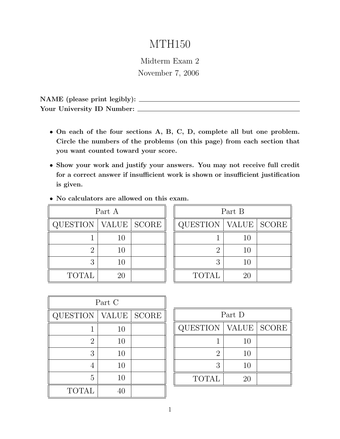# MTH150

Midterm Exam 2 November 7, 2006

NAME (please print legibly): Your University ID Number:

- *•* On each of the four sections A, B, C, D, complete all but one problem. Circle the numbers of the problems (on this page) from each section that you want counted toward your score.
- *•* Show your work and justify your answers. You may not receive full credit for a correct answer if insufficient work is shown or insufficient justification is given.
- *•* No calculators are allowed on this exam.

| Part A          |    |                    |  |  |
|-----------------|----|--------------------|--|--|
| <b>QUESTION</b> |    | <b>VALUE</b> SCORE |  |  |
|                 | 10 |                    |  |  |
| $\dot{2}$       | 10 |                    |  |  |
| 3               | 10 |                    |  |  |
| <b>TOTAL</b>    | 20 |                    |  |  |

| Part B          |       |              |  |  |
|-----------------|-------|--------------|--|--|
| <b>QUESTION</b> | VALUE | <b>SCORE</b> |  |  |
|                 | 10    |              |  |  |
| $\overline{2}$  | 10    |              |  |  |
| 3               | 10    |              |  |  |
| <b>TOTAL</b>    | 20    |              |  |  |

| Part C         |       |              |  |
|----------------|-------|--------------|--|
| QUESTION       | VALUE | <b>SCORE</b> |  |
|                | 10    |              |  |
| $\overline{2}$ | 10    |              |  |
| 3              | 10    |              |  |
| 4              | 10    |              |  |
| 5              | 10    |              |  |
| <b>TOTAL</b>   |       |              |  |

| Part D          |       |       |  |  |
|-----------------|-------|-------|--|--|
| <b>QUESTION</b> | VALUE | SCORE |  |  |
|                 | 10    |       |  |  |
| $\overline{2}$  | 10    |       |  |  |
| 3               | 10    |       |  |  |
| <b>TOTAL</b>    | 20    |       |  |  |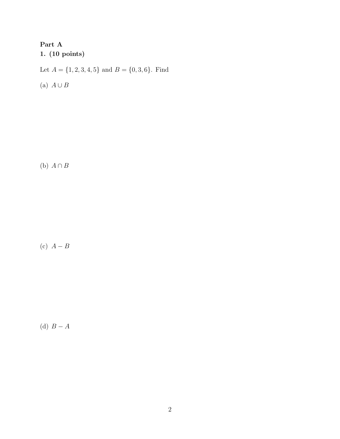# Part A 1. (10 points) Let  $A = \{1, 2, 3, 4, 5\}$  and  $B = \{0, 3, 6\}$ . Find

(a)  $A \cup B$ 

(b)  $A \cap B$ 

(c)  $A - B$ 

(d)  $B - A$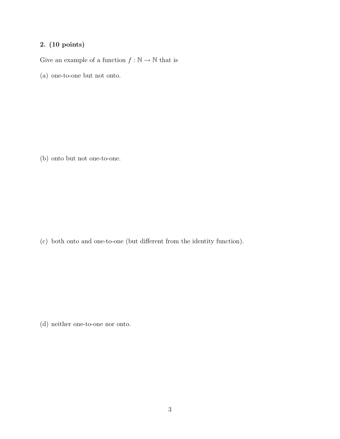Give an example of a function  $f : \mathbb{N} \to \mathbb{N}$  that is

(a) one-to-one but not onto.

(b) onto but not one-to-one.

(c) both onto and one-to-one (but different from the identity function).

(d) neither one-to-one nor onto.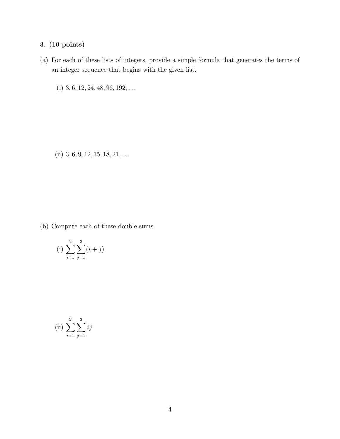(a) For each of these lists of integers, provide a simple formula that generates the terms of an integer sequence that begins with the given list.

(i) 3*,* 6*,* 12*,* 24*,* 48*,* 96*,* 192*,...*

(ii) 3*,* 6*,* 9*,* 12*,* 15*,* 18*,* 21*,...*

(b) Compute each of these double sums.

(i) 
$$
\sum_{i=1}^{2} \sum_{j=1}^{3} (i+j)
$$

(ii) 
$$
\sum_{i=1}^{2} \sum_{j=1}^{3} ij
$$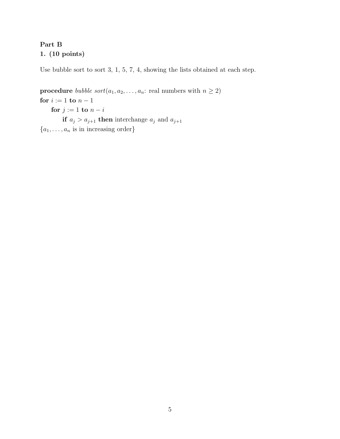## Part B 1. (10 points)

Use bubble sort to sort 3, 1, 5, 7, 4, showing the lists obtained at each step.

**procedure** *bubble sort*( $a_1, a_2, \ldots, a_n$ : real numbers with  $n \geq 2$ ) for  $i := 1$  to  $n - 1$ for  $j := 1$  to  $n - i$ if  $a_j > a_{j+1}$  then interchange  $a_j$  and  $a_{j+1}$ *{a*1*,...,a<sup>n</sup>* is in increasing order*}*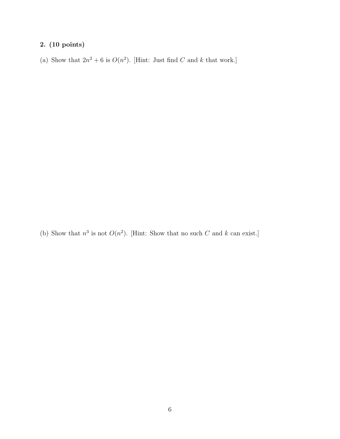(a) Show that  $2n^2 + 6$  is  $O(n^2)$ . [Hint: Just find *C* and *k* that work.]

(b) Show that  $n^3$  is not  $O(n^2)$ . [Hint: Show that no such  $C$  and  $k$  can exist.]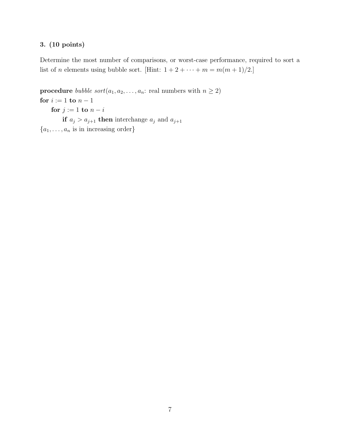Determine the most number of comparisons, or worst-case performance, required to sort a list of *n* elements using bubble sort. [Hint:  $1 + 2 + \cdots + m = m(m + 1)/2$ .]

**procedure** *bubble sort*( $a_1, a_2, \ldots, a_n$ : real numbers with  $n \geq 2$ ) for  $i := 1$  to  $n - 1$ for  $j := 1$  to  $n - i$ if  $a_j > a_{j+1}$  then interchange  $a_j$  and  $a_{j+1}$ *{a*1*,...,a<sup>n</sup>* is in increasing order*}*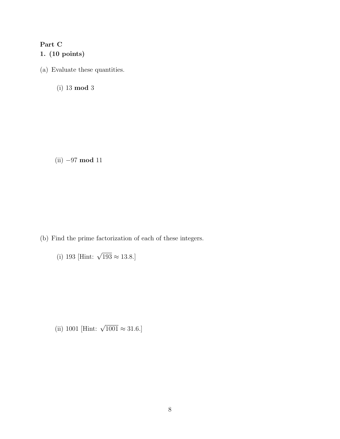## Part C

### 1. (10 points)

(a) Evaluate these quantities.

(i) 13 mod 3

 $(ii) -97 \text{ mod } 11$ 

(b) Find the prime factorization of each of these integers.

(i) 193 [Hint:  $\sqrt{193} \approx 13.8$ .]

(ii) 1001 [Hint:  $\sqrt{1001} \approx 31.6$ .]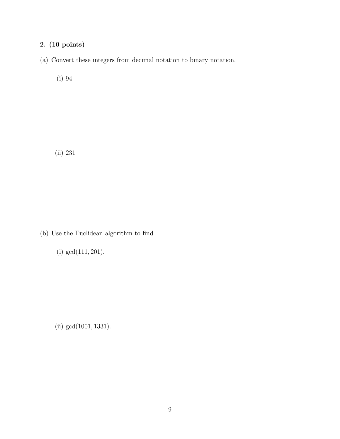(a) Convert these integers from decimal notation to binary notation.

(i) 94

(ii) 231

(b) Use the Euclidean algorithm to find

(i) gcd(111*,* 201).

(ii) gcd(1001*,* 1331).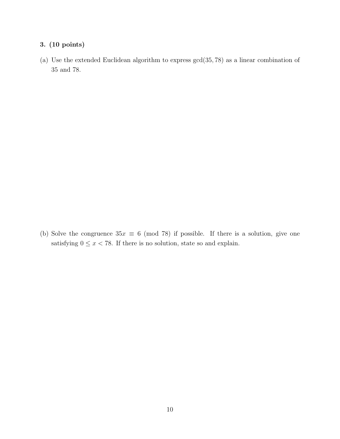(a) Use the extended Euclidean algorithm to express gcd(35*,* 78) as a linear combination of 35 and 78.

(b) Solve the congruence  $35x \equiv 6 \pmod{78}$  if possible. If there is a solution, give one satisfying  $0 \le x < 78$ . If there is no solution, state so and explain.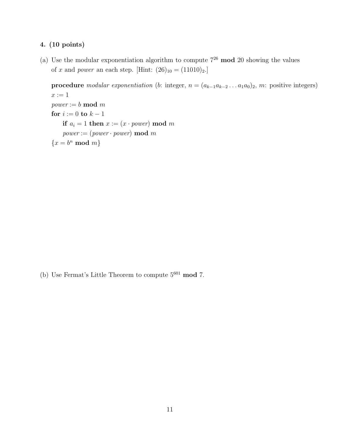(a) Use the modular exponentiation algorithm to compute  $7^{26}$  mod 20 showing the values of *x* and *power* an each step. [Hint:  $(26)_{10} = (11010)_{2}$ .]

procedure *modular exponentiation* (*b*: integer,  $n = (a_{k-1}a_{k-2} \ldots a_1a_0)_2$ , *m*: positive integers)  $x := 1$ *power* := *b* mod *m* for  $i := 0$  to  $k - 1$ if  $a_i = 1$  then  $x := (x \cdot power) \mod m$  $power := (power \cdot power) \mod m$  ${x = b^n \mod m}$ 

(b) Use Fermat's Little Theorem to compute  $5^{601}$  mod 7.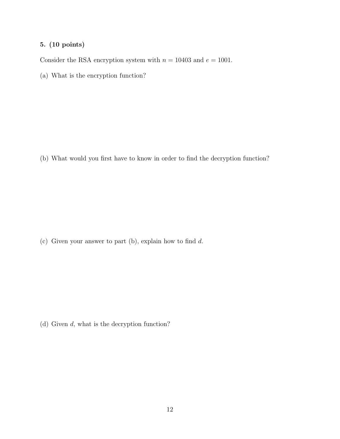Consider the RSA encryption system with  $n = 10403$  and  $e = 1001$ .

(a) What is the encryption function?

(b) What would you first have to know in order to find the decryption function?

(c) Given your answer to part (b), explain how to find *d*.

(d) Given *d*, what is the decryption function?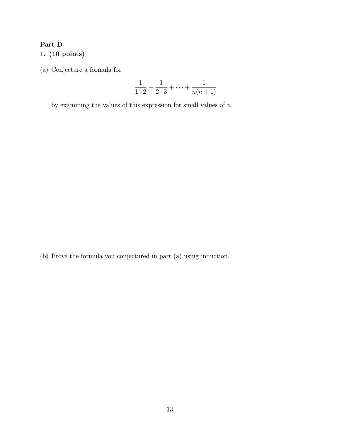# Part D

1. (10 points)

(a) Conjecture a formula for

$$
\frac{1}{1\cdot 2} + \frac{1}{2\cdot 3} + \dots + \frac{1}{n(n+1)}
$$

by examining the values of this expression for small values of *n*.

(b) Prove the formula you conjectured in part (a) using induction.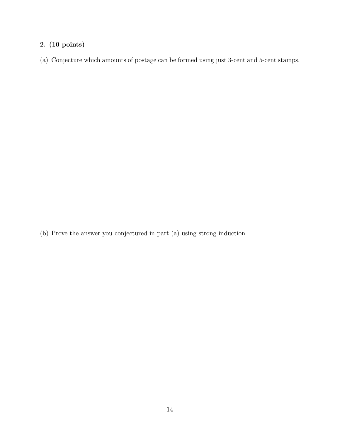(a) Conjecture which amounts of postage can be formed using just 3-cent and 5-cent stamps.

(b) Prove the answer you conjectured in part (a) using strong induction.